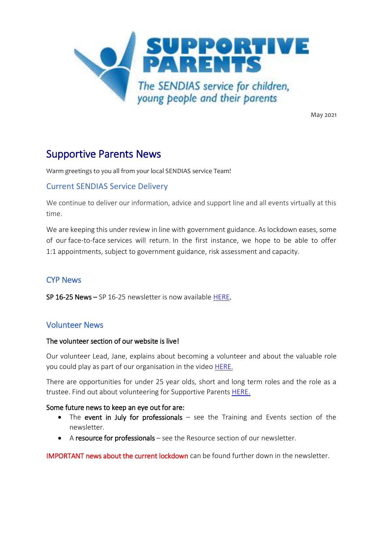

May 2021

# Supportive Parents News

Warm greetings to you all from your local SENDIAS service Team!

## Current SENDIAS Service Delivery

We continue to deliver our information, advice and support line and all events virtually at this time.

We are keeping this under review in line with government guidance. As lockdown eases, some of our face-to-face services will return. In the first instance, we hope to be able to offer 1:1 appointments, subject to government guidance, risk assessment and capacity.

# CYP News

SP 16-25 News – SP 16-25 newsletter is now available [HERE.](https://www.supportiveparents.org.uk/youth-matters-sp-16-25-news-april-2021/)

## Volunteer News

#### The volunteer section of our website is live!

Our volunteer Lead, Jane, explains about becoming a volunteer and about the valuable role you could play as part of our organisation in the video [HERE.](https://www.supportiveparents.org.uk/volunteer-with-supportive-parents/volunteers-what-we-do/)

There are opportunities for under 25 year olds, short and long term roles and the role as a trustee. Find out about volunteering for Supportive Parents [HERE.](https://www.supportiveparents.org.uk/volunteer-with-supportive-parents/)

#### Some future news to keep an eye out for are:

- The event in July for professionals see the Training and Events section of the newsletter.
- A resource for professionals see the Resource section of our newsletter.

IMPORTANT news about the current lockdown can be found further down in the newsletter.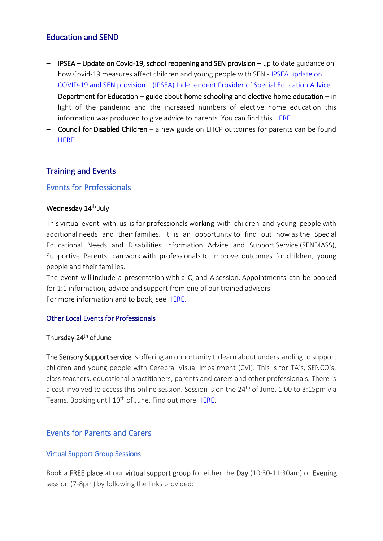## Education and SEND

- IPSEA Update on Covid-19, school reopening and SEN provision up to date guidance on how Covid-19 measures affect children and young people with SEN - [IPSEA update on](https://www.ipsea.org.uk/News/ipsea-update-on-covid-19-school-closures-and-sen-provision)  [COVID-19 and SEN provision | \(IPSEA\) Independent Provider of Special Education Advice.](https://www.ipsea.org.uk/News/ipsea-update-on-covid-19-school-closures-and-sen-provision)
- $-$  Department for Education guide about home schooling and elective home education in light of the pandemic and the increased numbers of elective home education this information was produced to give advice to parents. You can find this [HERE.](https://dfemedia.blog.gov.uk/2020/10/20/all-you-need-to-know-about-home-schooling-and-elective-home-education-ehe/)
- $-$  Council for Disabled Children a new guide on EHCP outcomes for parents can be found [HERE.](https://councilfordisabledchildren.org.uk/help-resources/resources/education-health-and-care-plans-outcomes-explainers)

## Training and Events

## Events for Professionals

#### Wednesday 14<sup>th</sup> July

This virtual event with us is for professionals working with children and young people with additional needs and their families. It is an opportunity to find out how as the Special Educational Needs and Disabilities Information Advice and Support Service (SENDIASS), Supportive Parents, can work with professionals to improve outcomes for children, young people and their families.  

The event will include a presentation with a Q and A session. Appointments can be booked for 1:1 information, advice and support from one of our trained advisors. For more information and to book, see [HERE.](https://www.eventbrite.co.uk/e/information-day-for-professionals-tickets-156488383969)

#### Other Local Events for Professionals

#### Thursday 24<sup>th</sup> of June

The Sensory Support service is offering an opportunity to learn about understanding to support children and young people with Cerebral Visual Impairment (CVI). This is for TA's, SENCO's, class teachers, educational practitioners, parents and carers and other professionals. There is a cost involved to access this online session. Session is on the 24<sup>th</sup> of June, 1:00 to 3:15pm via Teams. Booking until 10<sup>th</sup> of June. Find out more [HERE.](https://www.bristol.gov.uk/documents/2193095/4483453/CVI_course_2021.pdf/41b41435-d662-da8f-5a70-34433cea9adf?t=1619452670923)

## Events for Parents and Carers

#### Virtual Support Group Sessions

Book a FREE place at our virtual support group for either the Day (10:30-11:30am) or Evening session (7-8pm) by following the links provided: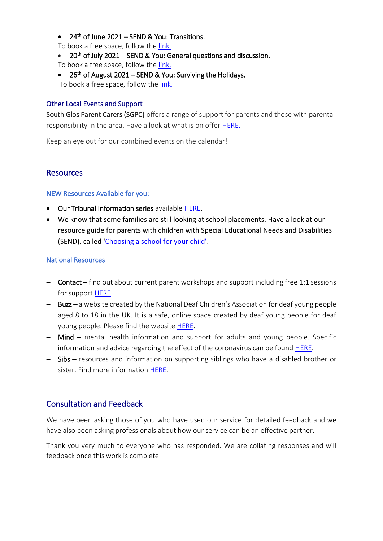• 24<sup>th</sup> of June 2021 – SEND & You: Transitions.

To book a free space, follow the link.

- 20<sup>th</sup> of July 2021 SEND & You: General questions and discussion.
- To book a free space, follow the [link.](https://www.eventbrite.co.uk/e/south-gloucestershire-send-and-you-general-questions-and-discussion-tickets-156741306467)
- 26<sup>th</sup> of August 2021 SEND & You: Surviving the Holidays.

To book a free space, follow the [link.](https://www.eventbrite.co.uk/e/south-gloucestershire-send-and-you-surviving-the-holidays-tickets-156742341563)

#### Other Local Events and Support

South Glos Parent Carers (SGPC) offers a range of support for parents and those with parental responsibility in the area. Have a look at what is on offer [HERE.](https://www.sglospc.org.uk/support-groups)

Keep an eye out for our combined events on the calendar!

## **Resources**

#### NEW Resources Available for you:

- Our Tribunal Information series available [HERE.](https://www.supportiveparents.org.uk/resources/information-series/)
- We know that some families are still looking at school placements. Have a look at our resource guide for parents with children with Special Educational Needs and Disabilities (SEND), called ['Choosing a school for your child'](https://www.supportiveparents.org.uk/wp-content/uploads/2020/11/Choosing-a-school-for-your-child.pdf).

## National Resources

- Contact find out about current parent workshops and support including free 1:1 sessions for support [HERE.](https://contact.org.uk/help-for-families/family-workshops-and-events/)
- Buzz a website created by the National Deaf Children's Association for deaf young people aged 8 to 18 in the UK. It is a safe, online space created by deaf young people for deaf young people. Please find the website [HERE.](https://buzz.org.uk/)
- Mind mental health information and support for adults and young people. Specific information and advice regarding the effect of the coronavirus can be found [HERE.](https://www.mind.org.uk/information-support/coronavirus/)
- Sibs resources and information on supporting siblings who have a disabled brother or sister. Find more information [HERE.](https://www.sibs.org.uk/about-sibs/)

# Consultation and Feedback

We have been asking those of you who have used our service for detailed feedback and we have also been asking professionals about how our service can be an effective partner.

Thank you very much to everyone who has responded. We are collating responses and will feedback once this work is complete.